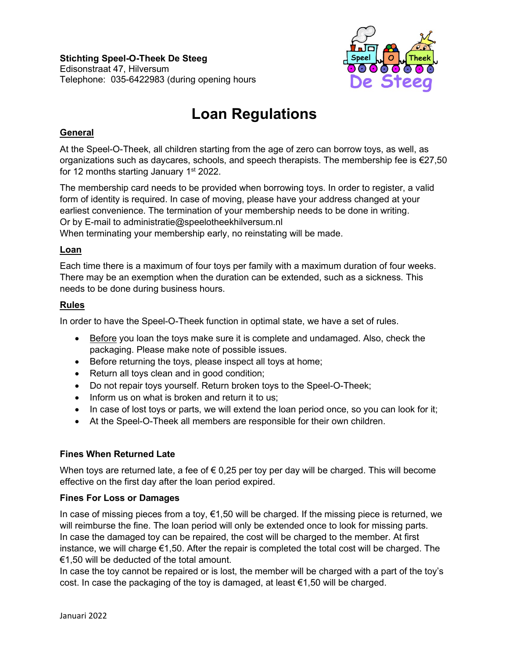**Stichting Speel-O-Theek De Steeg** Edisonstraat 47, Hilversum Telephone: 035-6422983 (during opening hours



# **Loan Regulations**

# **General**

At the Speel-O-Theek, all children starting from the age of zero can borrow toys, as well, as organizations such as daycares, schools, and speech therapists. The membership fee is €27,50 for 12 months starting January  $1<sup>st</sup> 2022$ .

The membership card needs to be provided when borrowing toys. In order to register, a valid form of identity is required. In case of moving, please have your address changed at your earliest convenience. The termination of your membership needs to be done in writing. Or by E-mail to administratie@speelotheekhilversum.nl

When terminating your membership early, no reinstating will be made.

## **Loan**

Each time there is a maximum of four toys per family with a maximum duration of four weeks. There may be an exemption when the duration can be extended, such as a sickness. This needs to be done during business hours.

## **Rules**

In order to have the Speel-O-Theek function in optimal state, we have a set of rules.

- Before you loan the toys make sure it is complete and undamaged. Also, check the packaging. Please make note of possible issues.
- Before returning the toys, please inspect all toys at home;
- Return all toys clean and in good condition;
- Do not repair toys yourself. Return broken toys to the Speel-O-Theek;
- Inform us on what is broken and return it to us;
- In case of lost toys or parts, we will extend the loan period once, so you can look for it;
- At the Speel-O-Theek all members are responsible for their own children.

## **Fines When Returned Late**

When toys are returned late, a fee of  $\epsilon$  0,25 per toy per day will be charged. This will become effective on the first day after the loan period expired.

#### **Fines For Loss or Damages**

In case of missing pieces from a toy,  $\epsilon$ 1,50 will be charged. If the missing piece is returned, we will reimburse the fine. The loan period will only be extended once to look for missing parts. In case the damaged toy can be repaired, the cost will be charged to the member. At first instance, we will charge €1,50. After the repair is completed the total cost will be charged. The €1,50 will be deducted of the total amount.

In case the toy cannot be repaired or is lost, the member will be charged with a part of the toy's cost. In case the packaging of the toy is damaged, at least  $\epsilon$ 1,50 will be charged.